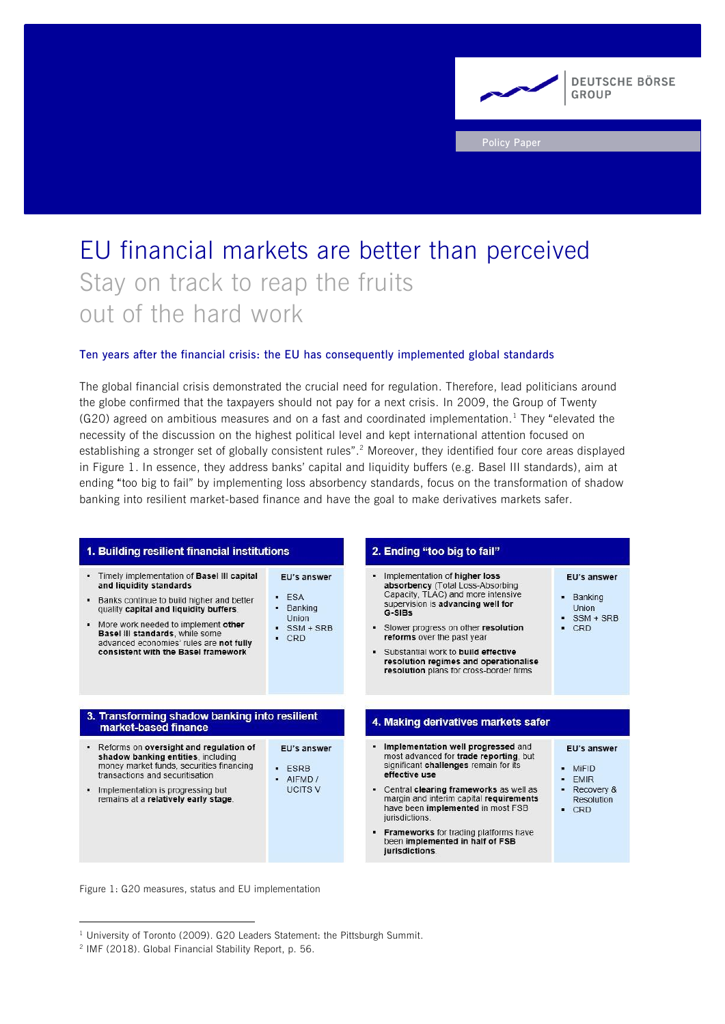# EU financial markets are better than perceived Stay on track to reap the fruits out of the hard work

**DEUTSCHE BÖRSE** 

**GROUP** 

# **Ten years after the financial crisis: the EU has consequently implemented global standards**

The global financial crisis demonstrated the crucial need for regulation. Therefore, lead politicians around the globe confirmed that the taxpayers should not pay for a next crisis. In 2009, the Group of Twenty  $(G20)$  agreed on ambitious measures and on a fast and coordinated implementation.<sup>1</sup> They "elevated the necessity of the discussion on the highest political level and kept international attention focused on establishing a stronger set of globally consistent rules".<sup>2</sup> Moreover, they identified four core areas displayed in [Figure 1.](#page-0-0) In essence, they address banks' capital and liquidity buffers (e.g. Basel III standards), aim at ending "too big to fail" by implementing loss absorbency standards, focus on the transformation of shadow banking into resilient market-based finance and have the goal to make derivatives markets safer.



<span id="page-0-0"></span>Figure 1: G20 measures, status and EU implementation

<sup>1</sup> University of Toronto (2009). G20 Leaders Statement: the Pittsburgh Summit.

 $\overline{a}$ 

<sup>2</sup> IMF (2018). Global Financial Stability Report, p. 56.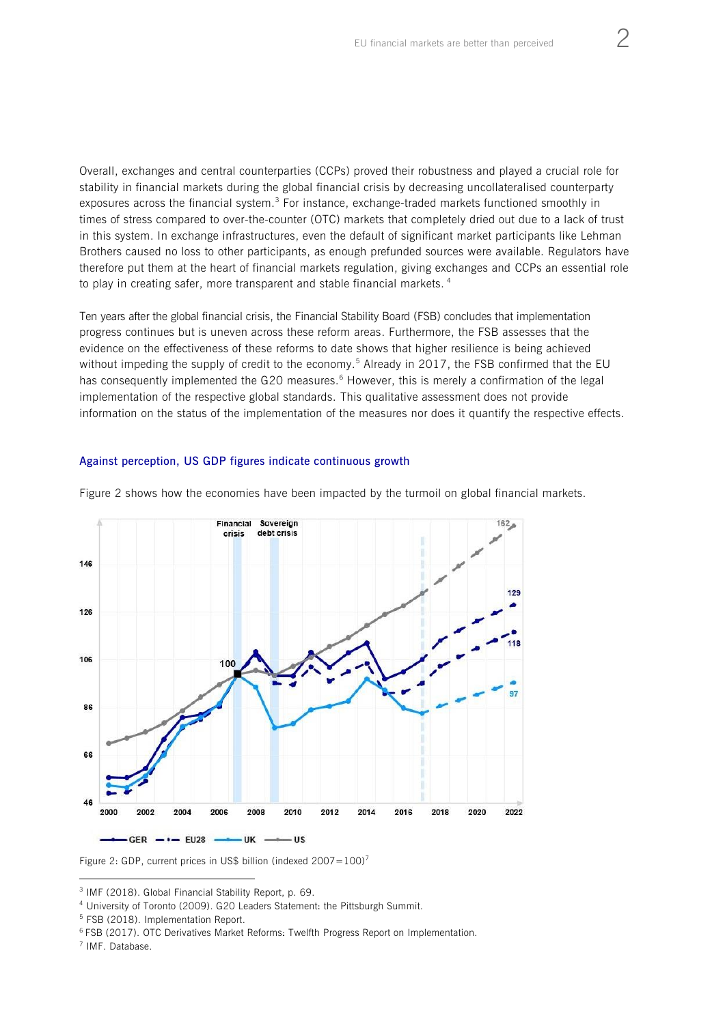Overall, exchanges and central counterparties (CCPs) proved their robustness and played a crucial role for stability in financial markets during the global financial crisis by decreasing uncollateralised counterparty exposures across the financial system.<sup>3</sup> For instance, exchange-traded markets functioned smoothly in times of stress compared to over-the-counter (OTC) markets that completely dried out due to a lack of trust in this system. In exchange infrastructures, even the default of significant market participants like Lehman Brothers caused no loss to other participants, as enough prefunded sources were available. Regulators have therefore put them at the heart of financial markets regulation, giving exchanges and CCPs an essential role to play in creating safer, more transparent and stable financial markets.<sup>4</sup>

Ten years after the global financial crisis, the Financial Stability Board (FSB) concludes that implementation progress continues but is uneven across these reform areas. Furthermore, the FSB assesses that the evidence on the effectiveness of these reforms to date shows that higher resilience is being achieved without impeding the supply of credit to the economy.<sup>5</sup> Already in 2017, the FSB confirmed that the EU has consequently implemented the G20 measures.<sup>6</sup> However, this is merely a confirmation of the legal implementation of the respective global standards. This qualitative assessment does not provide information on the status of the implementation of the measures nor does it quantify the respective effects.

## **Against perception, US GDP figures indicate continuous growth**



[Figure 2](#page-1-0) shows how the economies have been impacted by the turmoil on global financial markets.

<span id="page-1-0"></span>Figure 2: GDP, current prices in US\$ billion (indexed  $2007=100$ )<sup>7</sup>

ı

<sup>&</sup>lt;sup>3</sup> IMF (2018). Global Financial Stability Report, p. 69.

<sup>4</sup> University of Toronto (2009). G20 Leaders Statement: the Pittsburgh Summit.

<sup>&</sup>lt;sup>5</sup> FSB (2018). [Implementation Report.](http://www.fsb.org/wp-content/uploads/P030717-2.pdf)

<sup>6</sup> FSB (2017). OTC Derivatives Market Reforms: Twelfth Progress Report on Implementation.

<sup>7</sup> IMF. Database.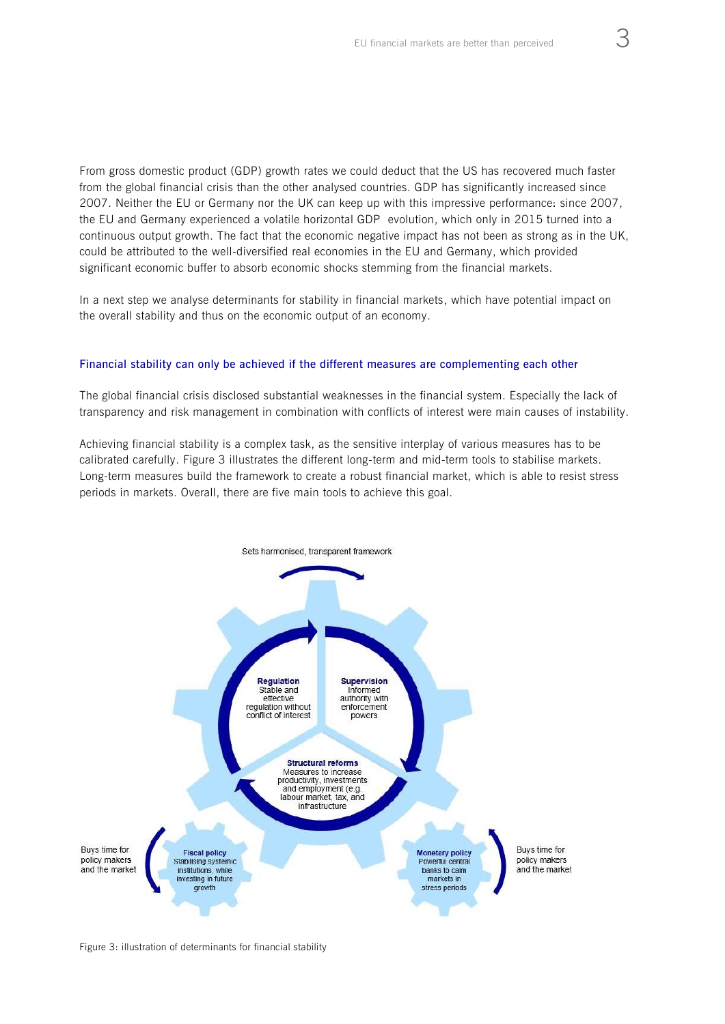From gross domestic product (GDP) growth rates we could deduct that the US has recovered much faster from the global financial crisis than the other analysed countries. GDP has significantly increased since 2007. Neither the EU or Germany nor the UK can keep up with this impressive performance: since 2007, the EU and Germany experienced a volatile horizontal GDP evolution, which only in 2015 turned into a continuous output growth. The fact that the economic negative impact has not been as strong as in the UK, could be attributed to the well-diversified real economies in the EU and Germany, which provided significant economic buffer to absorb economic shocks stemming from the financial markets.

In a next step we analyse determinants for stability in financial markets, which have potential impact on the overall stability and thus on the economic output of an economy.

## **Financial stability can only be achieved if the different measures are complementing each other**

The global financial crisis disclosed substantial weaknesses in the financial system. Especially the lack of transparency and risk management in combination with conflicts of interest were main causes of instability.

Achieving financial stability is a complex task, as the sensitive interplay of various measures has to be calibrated carefully. [Figure 3](#page-2-0) illustrates the different long-term and mid-term tools to stabilise markets. Long-term measures build the framework to create a robust financial market, which is able to resist stress periods in markets. Overall, there are five main tools to achieve this goal.



<span id="page-2-0"></span>Figure 3: illustration of determinants for financial stability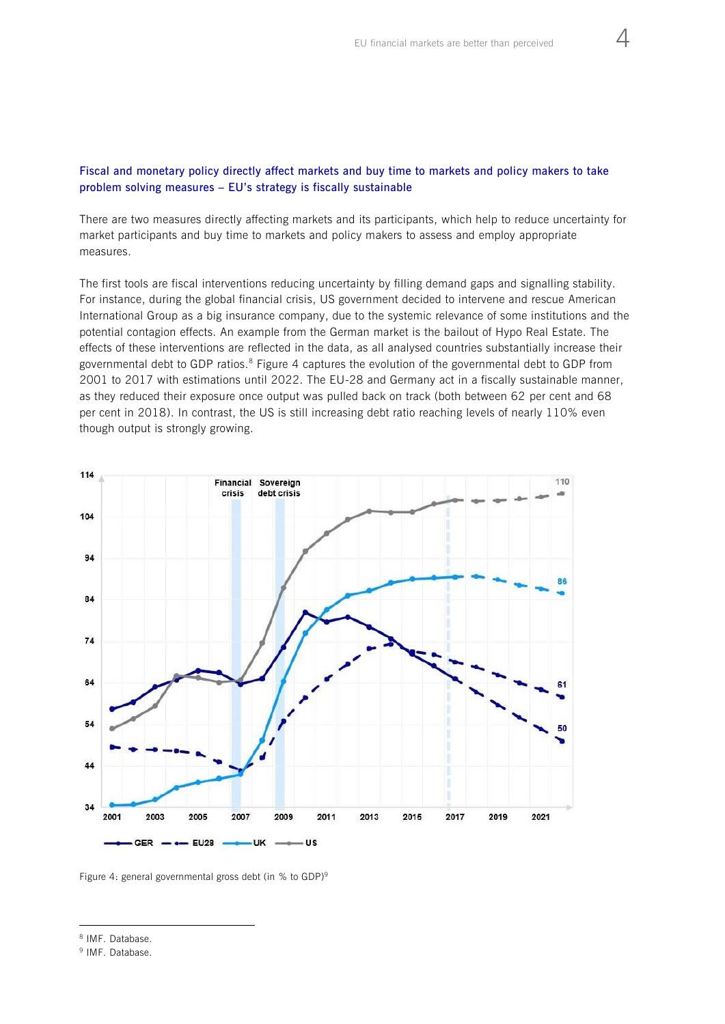# **Fiscal and monetary policy directly affect markets and buy time to markets and policy makers to take problem solving measures – EU's strategy is fiscally sustainable**

There are two measures directly affecting markets and its participants, which help to reduce uncertainty for market participants and buy time to markets and policy makers to assess and employ appropriate measures.

The first tools are fiscal interventions reducing uncertainty by filling demand gaps and signalling stability. For instance, during the global financial crisis, US government decided to intervene and rescue American International Group as a big insurance company, due to the systemic relevance of some institutions and the potential contagion effects. An example from the German market is the bailout of Hypo Real Estate. The effects of these interventions are reflected in the data, as all analysed countries substantially increase their governmental debt to GDP ratios.<sup>8</sup> [Figure 4](#page-3-0) captures the evolution of the governmental debt to GDP from 2001 to 2017 with estimations until 2022. The EU-28 and Germany act in a fiscally sustainable manner, as they reduced their exposure once output was pulled back on track (both between 62 per cent and 68 per cent in 2018). In contrast, the US is still increasing debt ratio reaching levels of nearly 110% even though output is strongly growing.



<span id="page-3-0"></span>Figure 4: general governmental gross debt (in % to GDP)<sup>9</sup>

 $\overline{a}$ 

<sup>8</sup> IMF. Database.

<sup>9</sup> IMF. [Datab](http://www.imf.org/external/datamapper/PPPPC@WEO/OEMDC/ADVEC/WEOWORLD)ase.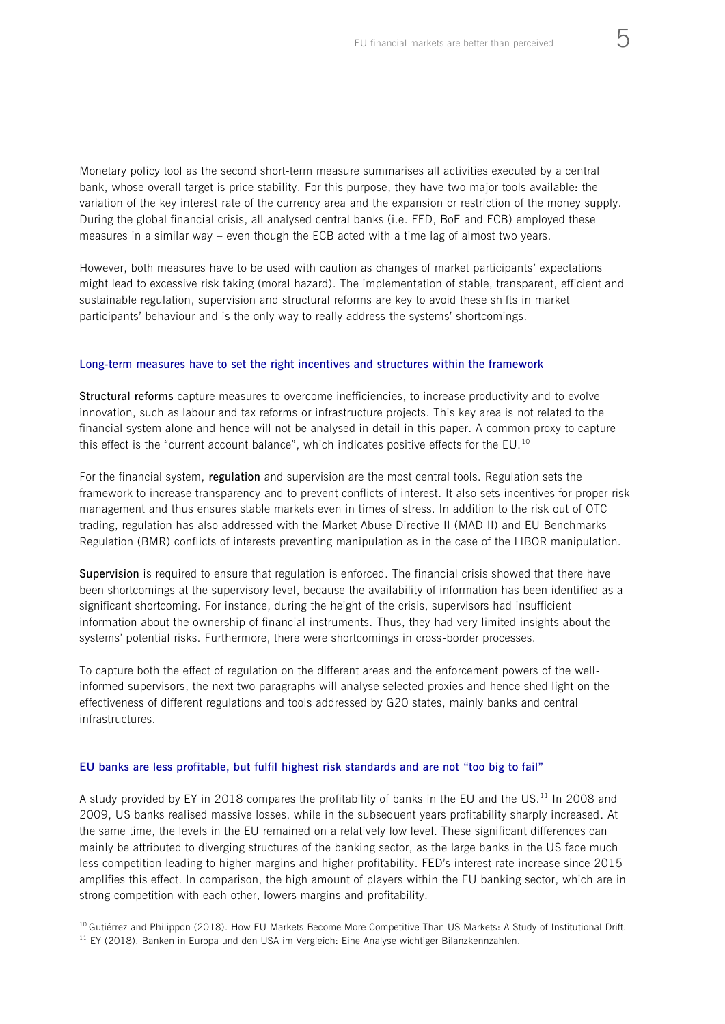Monetary policy tool as the second short-term measure summarises all activities executed by a central bank, whose overall target is price stability. For this purpose, they have two major tools available: the variation of the key interest rate of the currency area and the expansion or restriction of the money supply. During the global financial crisis, all analysed central banks (i.e. FED, BoE and ECB) employed these measures in a similar way – even though the ECB acted with a time lag of almost two years.

However, both measures have to be used with caution as changes of market participants' expectations might lead to excessive risk taking (moral hazard). The implementation of stable, transparent, efficient and sustainable regulation, supervision and structural reforms are key to avoid these shifts in market participants' behaviour and is the only way to really address the systems' shortcomings.

#### **Long-term measures have to set the right incentives and structures within the framework**

**Structural reforms** capture measures to overcome inefficiencies, to increase productivity and to evolve innovation, such as labour and tax reforms or infrastructure projects. This key area is not related to the financial system alone and hence will not be analysed in detail in this paper. A common proxy to capture this effect is the "current account balance", which indicates positive effects for the EU.<sup>10</sup>

For the financial system, **regulation** and supervision are the most central tools. Regulation sets the framework to increase transparency and to prevent conflicts of interest. It also sets incentives for proper risk management and thus ensures stable markets even in times of stress. In addition to the risk out of OTC trading, regulation has also addressed with the Market Abuse Directive II (MAD II) and EU Benchmarks Regulation (BMR) conflicts of interests preventing manipulation as in the case of the LIBOR manipulation.

**Supervision** is required to ensure that regulation is enforced. The financial crisis showed that there have been shortcomings at the supervisory level, because the availability of information has been identified as a significant shortcoming. For instance, during the height of the crisis, supervisors had insufficient information about the ownership of financial instruments. Thus, they had very limited insights about the systems' potential risks. Furthermore, there were shortcomings in cross-border processes.

To capture both the effect of regulation on the different areas and the enforcement powers of the wellinformed supervisors, the next two paragraphs will analyse selected proxies and hence shed light on the effectiveness of different regulations and tools addressed by G20 states, mainly banks and central infrastructures.

## **EU banks are less profitable, but fulfil highest risk standards and are not "too big to fail"**

A study provided by EY in 2018 compares the profitability of banks in the EU and the US.<sup>11</sup> In 2008 and 2009, US banks realised massive losses, while in the subsequent years profitability sharply increased. At the same time, the levels in the EU remained on a relatively low level. These significant differences can mainly be attributed to diverging structures of the banking sector, as the large banks in the US face much less competition leading to higher margins and higher profitability. FED's interest rate increase since 2015 amplifies this effect. In comparison, the high amount of players within the EU banking sector, which are in strong competition with each other, lowers margins and profitability.

ı

<sup>&</sup>lt;sup>10</sup> Gutiérrez and Philippon (2018). How EU Markets Become More Competitive Than US Markets: A Study of Institutional Drift.

<sup>&</sup>lt;sup>11</sup> EY (2018). Banken in Europa und den USA im Vergleich: Eine Analyse wichtiger Bilanzkennzahlen.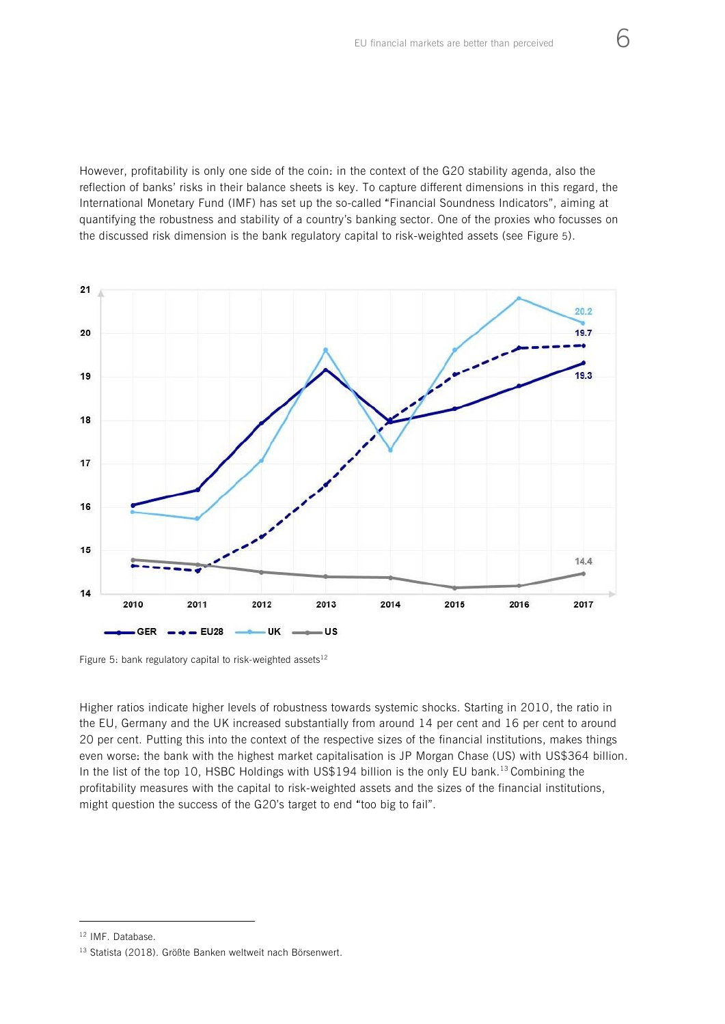However, profitability is only one side of the coin: in the context of the G20 stability agenda, also the reflection of banks' risks in their balance sheets is key. To capture different dimensions in this regard, the International Monetary Fund (IMF) has set up the so-called "Financial Soundness Indicators", aiming at quantifying the robustness and stability of a country's banking sector. One of the proxies who focusses on the discussed risk dimension is the bank regulatory capital to risk-weighted assets (see [Figure](#page-5-0) 5).



<span id="page-5-0"></span>Figure 5: bank regulatory capital to risk-weighted assets $12$ 

Higher ratios indicate higher levels of robustness towards systemic shocks. Starting in 2010, the ratio in the EU, Germany and the UK increased substantially from around 14 per cent and 16 per cent to around 20 per cent. Putting this into the context of the respective sizes of the financial institutions, makes things even worse: the bank with the highest market capitalisation is JP Morgan Chase (US) with US\$364 billion. In the list of the top 10, HSBC Holdings with US\$194 billion is the only EU bank.<sup>13</sup> Combining the profitability measures with the capital to risk-weighted assets and the sizes of the financial institutions, might question the success of the G20's target to end "too big to fail".

ı

<sup>12</sup> IMF. Database.

<sup>13</sup> Statista (2018). [Größte Banken weltweit nach Börsenwert.](https://de.statista.com/statistik/daten/studie/38289/umfrage/top-10-banken-nach-boersenwert/)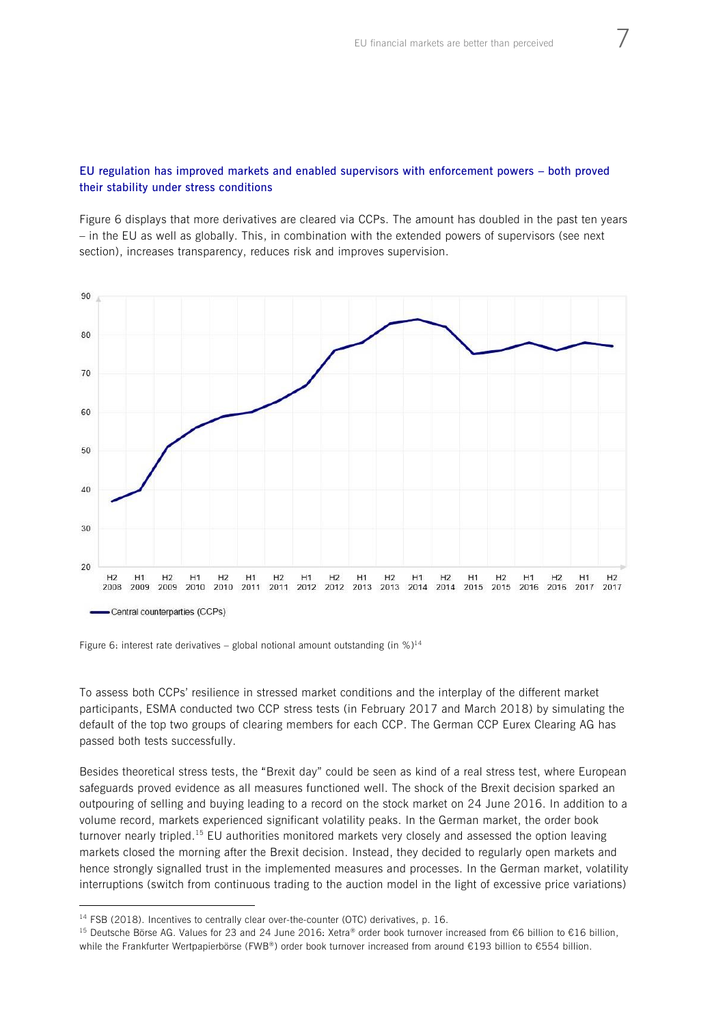# **EU regulation has improved markets and enabled supervisors with enforcement powers – both proved their stability under stress conditions**

[Figure 6](#page-6-0) displays that more derivatives are cleared via CCPs. The amount has doubled in the past ten years – in the EU as well as globally. This, in combination with the extended powers of supervisors (see next section), increases transparency, reduces risk and improves supervision.



<span id="page-6-0"></span>Figure 6: interest rate derivatives – global notional amount outstanding (in  $\frac{14}{14}$ 

To assess both CCPs' resilience in stressed market conditions and the interplay of the different market participants, ESMA conducted two CCP stress tests (in February 2017 and March 2018) by simulating the default of the top two groups of clearing members for each CCP. The German CCP Eurex Clearing AG has passed both tests successfully.

Besides theoretical stress tests, the "Brexit day" could be seen as kind of a real stress test, where European safeguards proved evidence as all measures functioned well. The shock of the Brexit decision sparked an outpouring of selling and buying leading to a record on the stock market on 24 June 2016. In addition to a volume record, markets experienced significant volatility peaks. In the German market, the order book turnover nearly tripled.<sup>15</sup> EU authorities monitored markets very closely and assessed the option leaving markets closed the morning after the Brexit decision. Instead, they decided to regularly open markets and hence strongly signalled trust in the implemented measures and processes. In the German market, volatility interruptions (switch from continuous trading to the auction model in the light of excessive price variations)

 $\overline{a}$ 

<sup>&</sup>lt;sup>14</sup> FSB (2018). Incentives to centrally clear over-the-counter (OTC) derivatives, p. 16.

<sup>&</sup>lt;sup>15</sup> Deutsche Börse AG. Values for 23 and 24 June 2016: Xetra® order book turnover increased from €6 billion to €16 billion, while the Frankfurter Wertpapierbörse (FWB®) order book turnover increased from around €193 billion to €554 billion.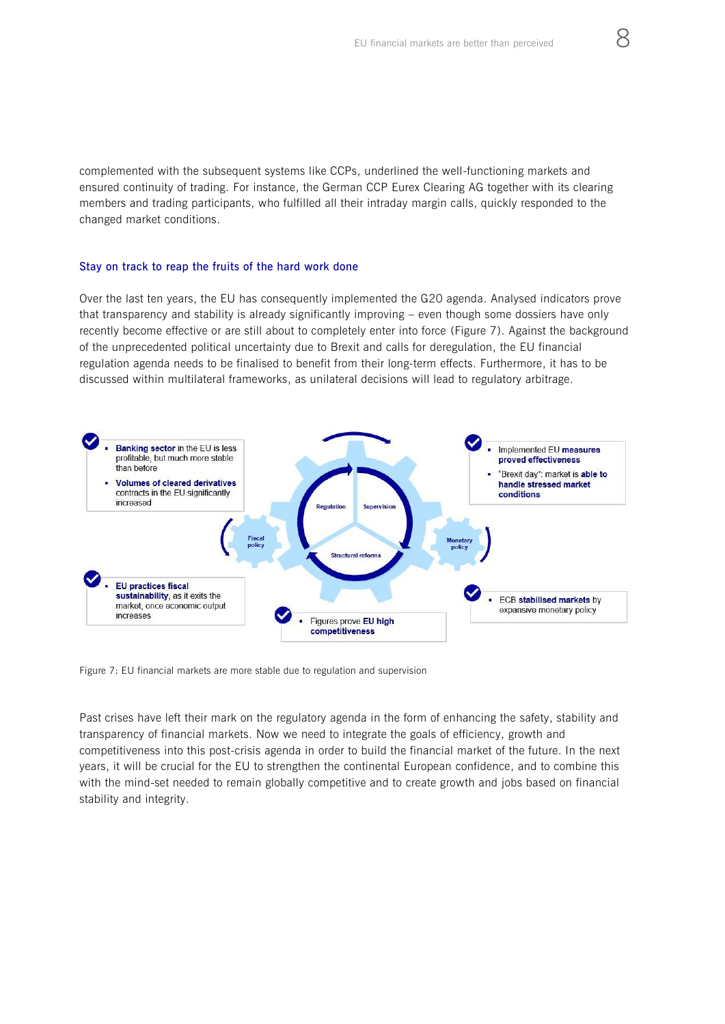complemented with the subsequent systems like CCPs, underlined the well-functioning markets and ensured continuity of trading. For instance, the German CCP Eurex Clearing AG together with its clearing members and trading participants, who fulfilled all their intraday margin calls, quickly responded to the changed market conditions.

#### **Stay on track to reap the fruits of the hard work done**

Over the last ten years, the EU has consequently implemented the G20 agenda. Analysed indicators prove that transparency and stability is already significantly improving – even though some dossiers have only recently become effective or are still about to completely enter into force (Figure 7). Against the background of the unprecedented political uncertainty due to Brexit and calls for deregulation, the EU financial regulation agenda needs to be finalised to benefit from their long-term effects. Furthermore, it has to be discussed within multilateral frameworks, as unilateral decisions will lead to regulatory arbitrage.



Figure 7: EU financial markets are more stable due to regulation and supervision

Past crises have left their mark on the regulatory agenda in the form of enhancing the safety, stability and transparency of financial markets. Now we need to integrate the goals of efficiency, growth and competitiveness into this post-crisis agenda in order to build the financial market of the future. In the next years, it will be crucial for the EU to strengthen the continental European confidence, and to combine this with the mind-set needed to remain globally competitive and to create growth and jobs based on financial stability and integrity.